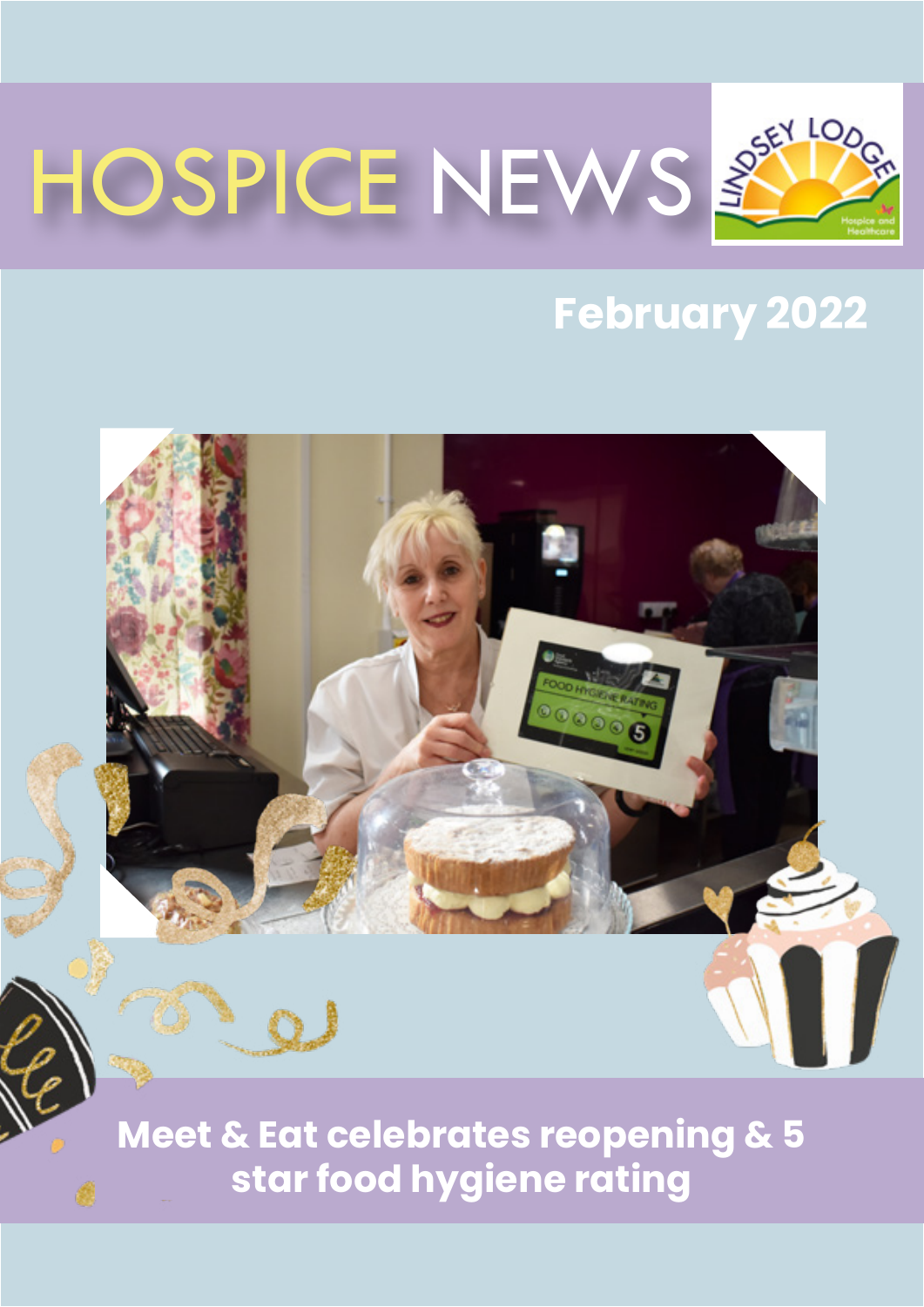

### **February 2022**



**star food hygiene rating**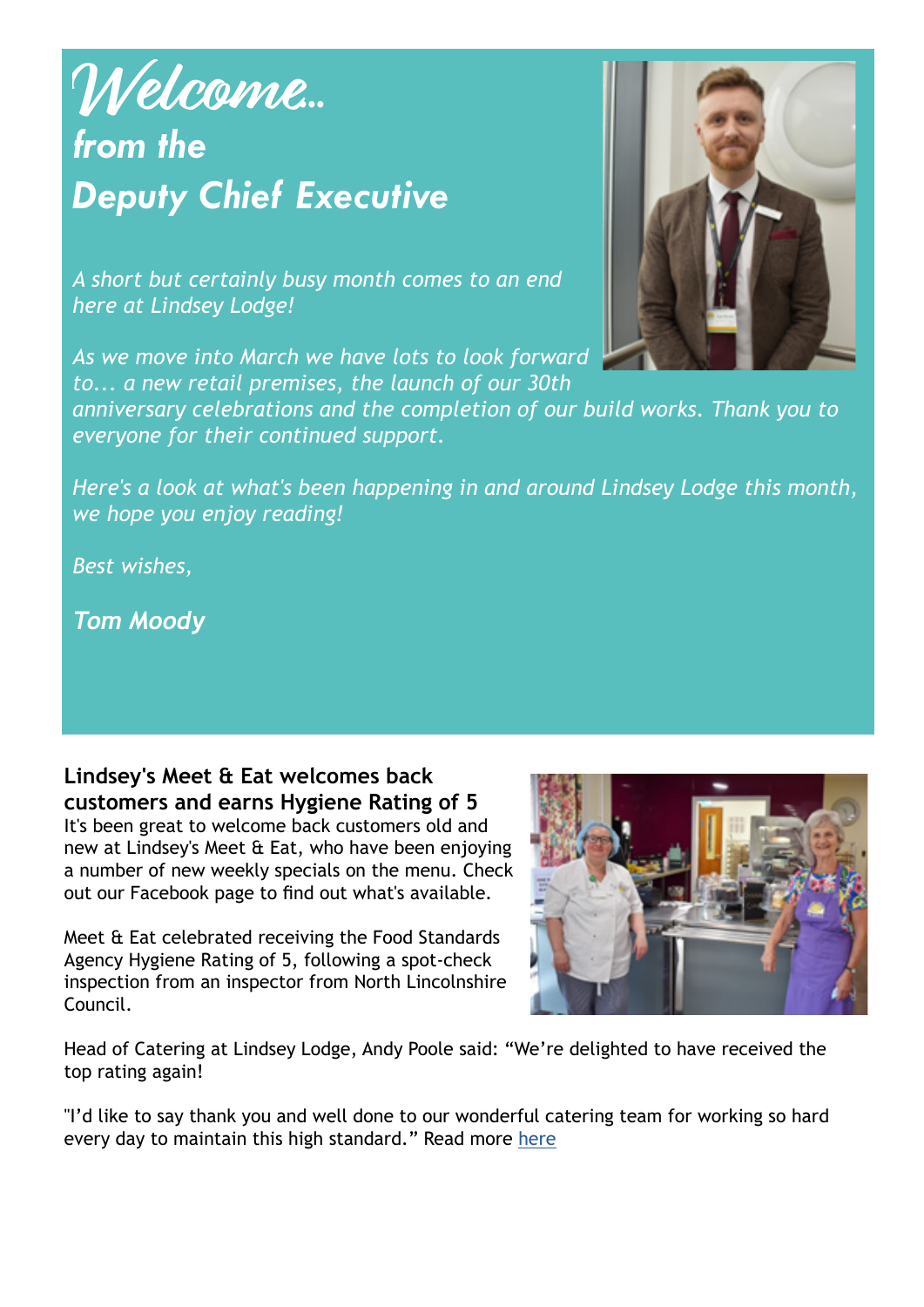### **Welcome***... from the Deputy Chief Executive*

*A short but certainly busy month comes to an end here at Lindsey Lodge!* 

*As we move into March we have lots to look forward to... a new retail premises, the launch of our 30th* 

*anniversary celebrations and the completion of our build works. Thank you to everyone for their continued support.*

*Here's a look at what's been happening in and around Lindsey Lodge this month, we hope you enjoy reading!*

*Best wishes,*

*Tom Moody*

**Lindsey's Meet & Eat welcomes back customers and earns Hygiene Rating of 5** 

It's been great to welcome back customers old and new at Lindsey's Meet & Eat, who have been enjoying a number of new weekly specials on the menu. Check out our Facebook page to find out what's available.

Meet & Eat celebrated receiving the Food Standards Agency Hygiene Rating of 5, following a spot-check inspection from an inspector from North Lincolnshire Council.



Head of Catering at Lindsey Lodge, Andy Poole said: "We're delighted to have received the top rating again!

"I'd like to say thank you and well done to our wonderful catering team for working so hard every day to maintain this high standard." Read more [here](https://tinyurl.com/3wf4ttks)

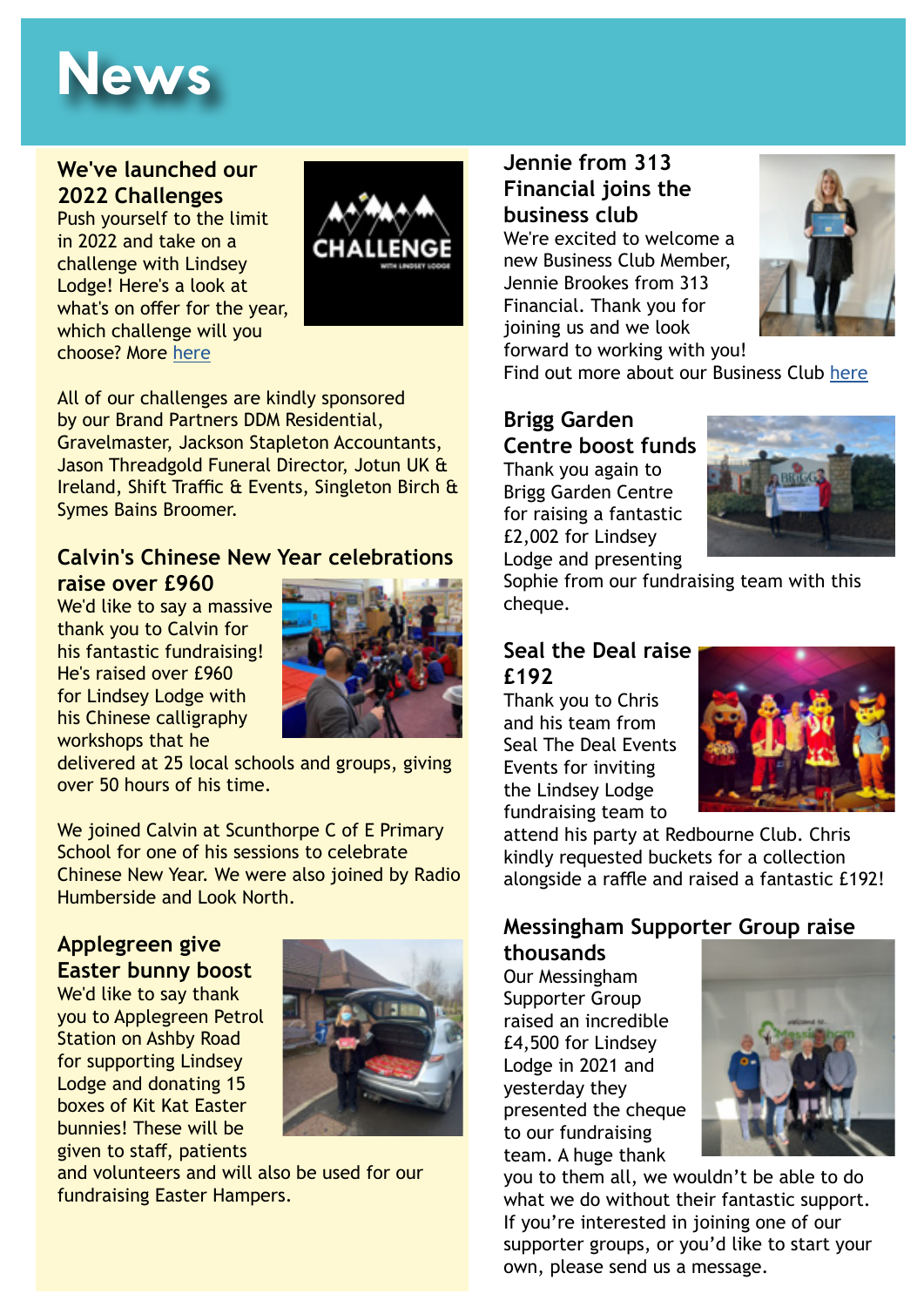## **News**

#### **We've launched our 2022 Challenges**

Push yourself to the limit in 2022 and take on a challenge with Lindsey Lodge! Here's a look at what's on offer for the year, which challenge will you choose? More [here](https://tinyurl.com/4rt8a7cd)



All of our challenges are kindly sponsored by our Brand Partners DDM Residential, Gravelmaster, Jackson Stapleton Accountants, Jason Threadgold Funeral Director, Jotun UK & Ireland, Shift Traffic & Events, Singleton Birch & Symes Bains Broomer.

#### **Calvin's Chinese New Year celebrations raise over £960**

We'd like to say a massive thank you to Calvin for his fantastic fundraising! He's raised over £960 for Lindsey Lodge with his Chinese calligraphy workshops that he



delivered at 25 local schools and groups, giving over 50 hours of his time.

We joined Calvin at Scunthorpe C of E Primary School for one of his sessions to celebrate Chinese New Year. We were also joined by Radio Humberside and Look North.

#### **Applegreen give Easter bunny boost**

We'd like to say thank you to Applegreen Petrol Station on Ashby Road for supporting Lindsey Lodge and donating 15 boxes of Kit Kat Easter bunnies! These will be given to staff, patients



and volunteers and will also be used for our fundraising Easter Hampers.

#### **Jennie from 313 Financial joins the business club**

We're excited to welcome a new Business Club Member, Jennie Brookes from 313 Financial. Thank you for joining us and we look



forward to working with you! Find out more about our Business Club [here](https://www.lindseylodgehospice.org.uk/support-us/different-ways-to-raise-funds/)

#### **Brigg Garden Centre boost funds**

Thank you again to Brigg Garden Centre for raising a fantastic £2,002 for Lindsey Lodge and presenting



Sophie from our fundraising team with this cheque.

#### **Seal the Deal raise £192**

Thank you to Chris and his team from Seal The Deal Events Events for inviting the Lindsey Lodge fundraising team to



attend his party at Redbourne Club. Chris kindly requested buckets for a collection alongside a raffle and raised a fantastic £192!

#### **Messingham Supporter Group raise thousands**

Our Messingham Supporter Group raised an incredible £4,500 for Lindsey Lodge in 2021 and yesterday they presented the cheque to our fundraising team. A huge thank



you to them all, we wouldn't be able to do what we do without their fantastic support. If you're interested in joining one of our supporter groups, or you'd like to start your own, please send us a message.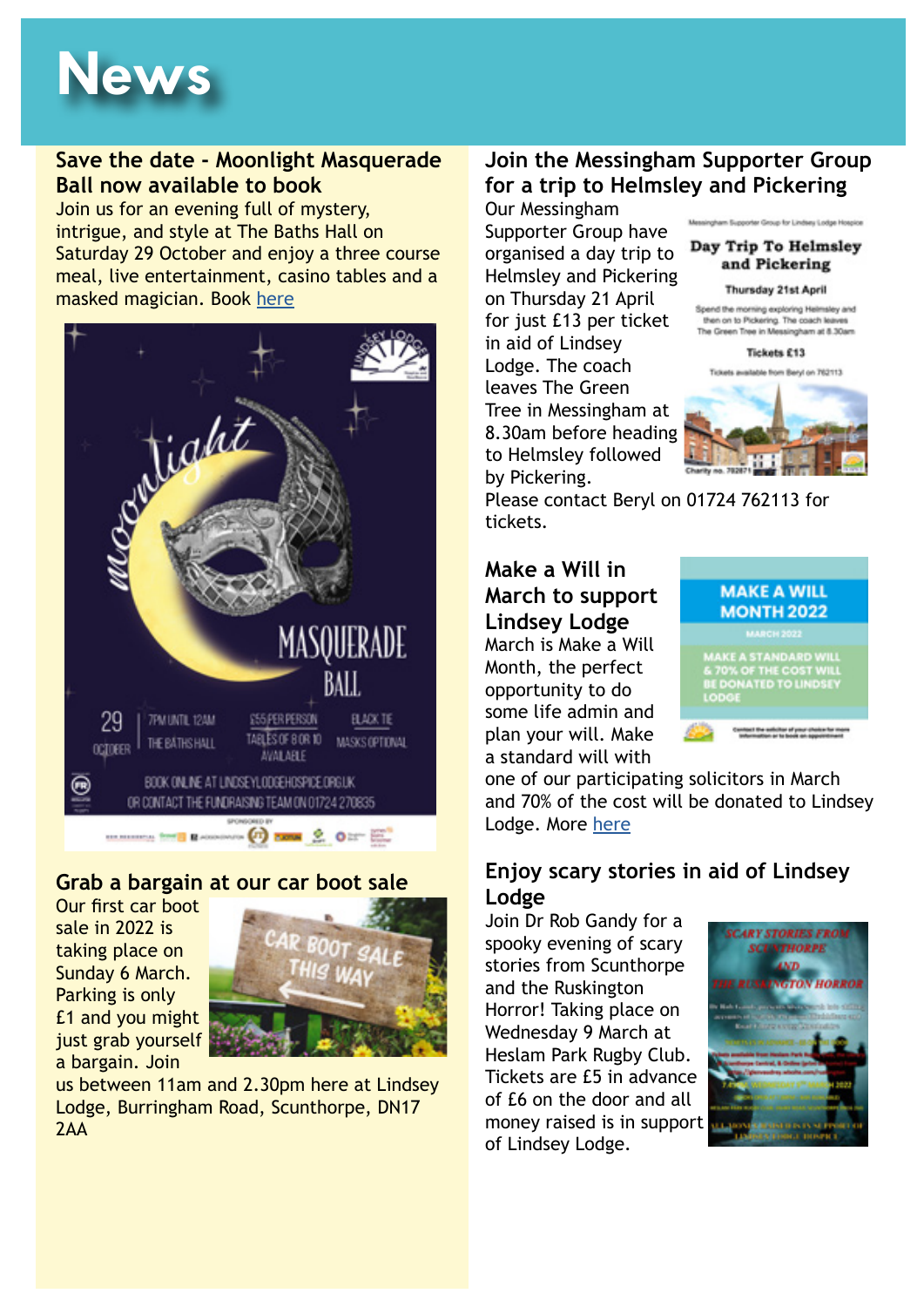# **News**

#### **Save the date - Moonlight Masquerade Ball now available to book**

Join us for an evening full of mystery, intrigue, and style at The Baths Hall on Saturday 29 October and enjoy a three course meal, live entertainment, casino tables and a masked magician. Book [here](http://lindseylodgehospice.org.uk/support-us/events/moonlight-masquerade-ball-2022/)



#### **Grab a bargain at our car boot sale**

Our first car boot sale in 2022 is taking place on Sunday 6 March. Parking is only £1 and you might just grab yourself a bargain. Join



us between 11am and 2.30pm here at Lindsey Lodge, Burringham Road, Scunthorpe, DN17  $7AA$ 

#### **Join the Messingham Supporter Group for a trip to Helmsley and Pickering** Our Messingham

Supporter Group have organised a day trip to Helmsley and Pickering on Thursday 21 April for just £13 per ticket in aid of Lindsey Lodge. The coach leaves The Green Tree in Messingham at 8.30am before heading to Helmsley followed by Pickering.





Please contact Beryl on 01724 762113 for tickets.

**Make a Will in March to support Lindsey Lodge** March is Make a Will Month, the perfect opportunity to do some life admin and plan your will. Make a standard will with



one of our participating solicitors in March and 70% of the cost will be donated to Lindsey Lodge. More [here](https://www.lindseylodgehospice.org.uk/support-us/events/make-a-will-month-2022/)

#### **Enjoy scary stories in aid of Lindsey Lodge**

Join Dr Rob Gandy for a spooky evening of scary stories from Scunthorpe and the Ruskington Horror! Taking place on Wednesday 9 March at Heslam Park Rugby Club. Tickets are £5 in advance of £6 on the door and all money raised is in support of Lindsey Lodge.

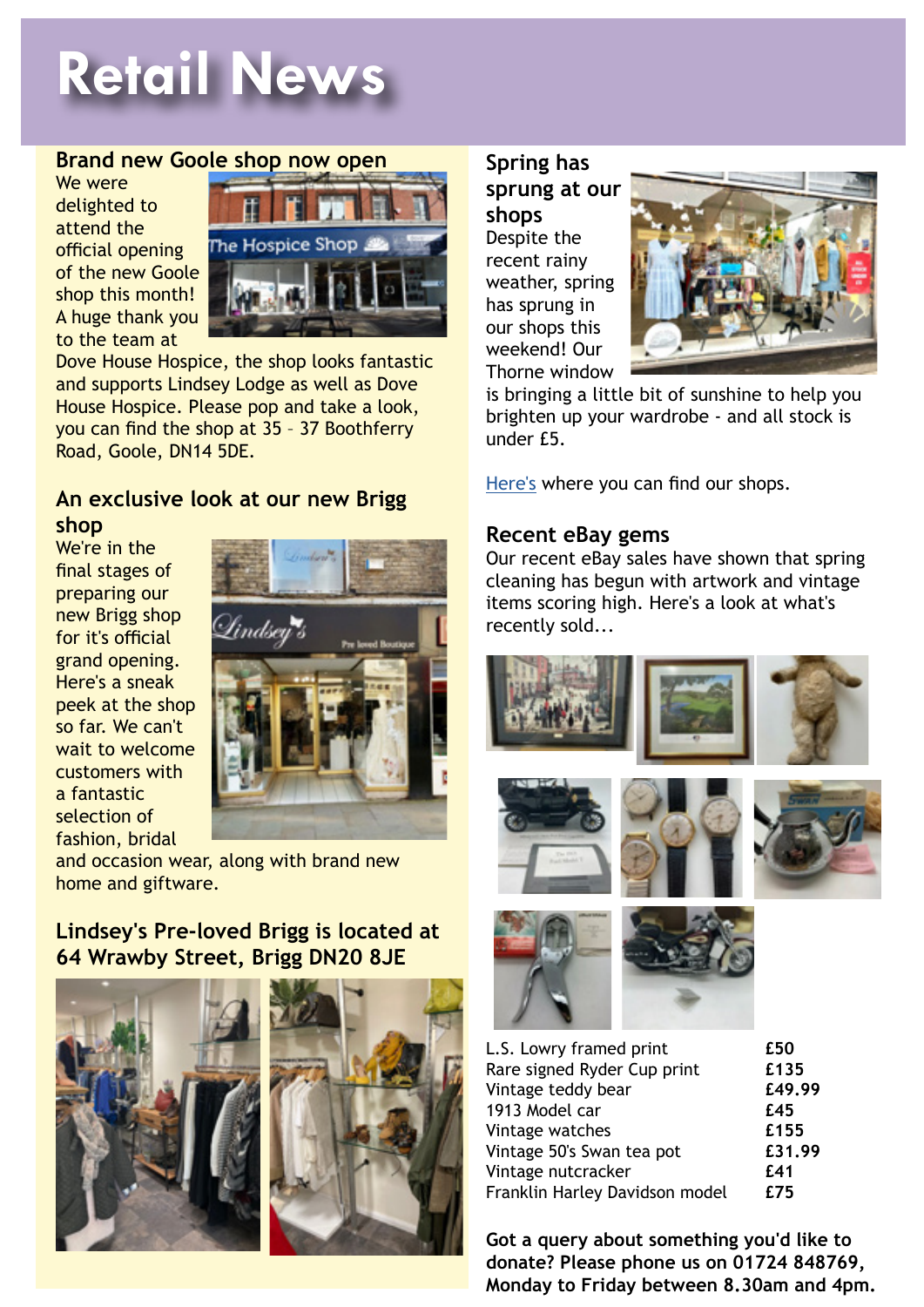# **Retail News**

#### **Brand new Goole shop now open**

We were delighted to attend the official opening of the new Goole shop this month! A huge thank you to the team at



Dove House Hospice, the shop looks fantastic and supports Lindsey Lodge as well as Dove House Hospice. Please pop and take a look, you can find the shop at 35 – 37 Boothferry Road, Goole, DN14 5DE.

#### **An exclusive look at our new Brigg shop**

We're in the final stages of preparing our new Brigg shop for it's official grand opening. Here's a sneak peek at the shop so far. We can't wait to welcome customers with a fantastic selection of fashion, bridal



and occasion wear, along with brand new home and giftware.

#### **Lindsey's Pre-loved Brigg is located at 64 Wrawby Street, Brigg DN20 8JE**





**Spring has sprung at our shops** Despite the recent rainy weather, spring has sprung in our shops this weekend! Our Thorne window



is bringing a little bit of sunshine to help you brighten up your wardrobe - and all stock is under £5.

[Here's](https://www.lindseylodgehospice.org.uk/support-us/retail/) where you can find our shops.

#### **Recent eBay gems**

Our recent eBay sales have shown that spring cleaning has begun with artwork and vintage items scoring high. Here's a look at what's recently sold...



| L.S. Lowry framed print        | £50    |
|--------------------------------|--------|
| Rare signed Ryder Cup print    | £135   |
| Vintage teddy bear             | £49.99 |
| 1913 Model car                 | £45    |
| Vintage watches                | £155   |
| Vintage 50's Swan tea pot      | £31.99 |
| Vintage nutcracker             | £41    |
| Franklin Harley Davidson model | £75    |
|                                |        |

**Got a query about something you'd like to donate? Please phone us on 01724 848769, Monday to Friday between 8.30am and 4pm.**